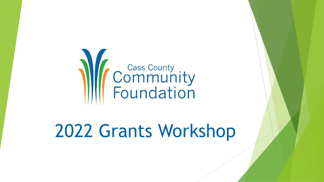

## 2022 Grants Workshop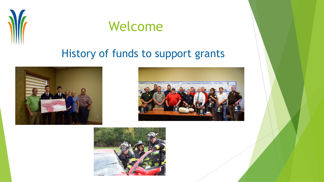



### History of funds to support grants





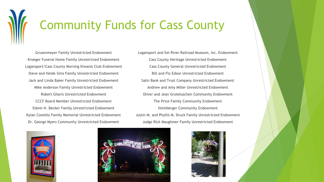# Community Funds for Cass County

Grusenmeyer Family Unrestricted Endowment Kroeger Funeral Home Family Unrestricted Endowment Logansport/Cass County Morning Kiwanis Club Endowment Steve and Heide Sims Family Unrestricted Endowment Jack and Linda Baker Family Unrestricted Endowment Mike Anderson Family Unrestricted Endowment Robert Gharis Unrestricted Endowment CCCF Board Member Unrestricted Endowment Edwin H. Becker Family Unrestricted Endowment Kylan Costello Family Memorial Unrestricted Endowment Dr. George Myers Community Unrestricted Endowment

Logansport and Eel River Railroad Museum, Inc. Endowment Cass County Heritage Unrestricted Endowment Cass County General Unrestricted Endowment Bill and Flo Edson Unrestricted Endowment Salin Bank and Trust Company Unrestricted Endowment Andrew and Amy Miller Unrestricted Endowment Oliver and Jean Groteluschen Community Endowment The Price Family Community Endowment Steinberger Community Endowment Justin M. and Phyllis M. Druck Family Unrestricted Endowment Judge Rick Maughmer Family Unrestricted Endowment





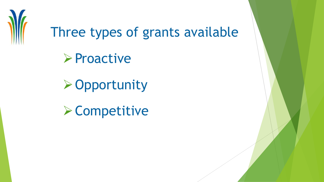

Three types of grants available

➢Proactive

➢Opportunity

➢Competitive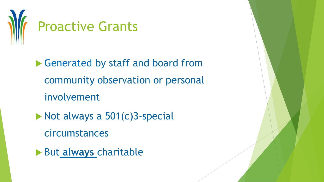

▶ Generated by staff and board from community observation or personal involvement

- $\triangleright$  Not always a 501(c)3-special circumstances
- But **always** charitable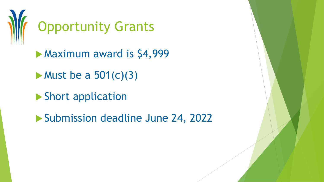

Maximum award is \$4,999

 $\blacktriangleright$  Must be a 501(c)(3)

Short application

Submission deadline June 24, 2022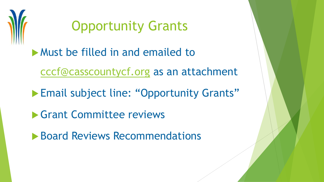

### Opportunity Grants

Must be filled in and emailed to

[cccf@casscountycf.org](mailto:cccf@casscountycf.org) as an attachment

**Email subject line: "Opportunity Grants"** 

**S** Grant Committee reviews

**Board Reviews Recommendations**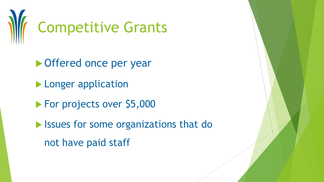

▶ Offered once per year **Longer application** ▶ For projects over \$5,000 **In Issues for some organizations that do** not have paid staff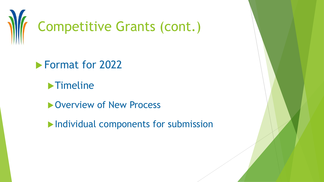

**Format for 2022** 

**Fimeline** 

**D**Overview of New Process

Individual components for submission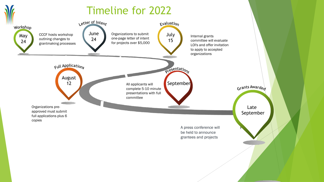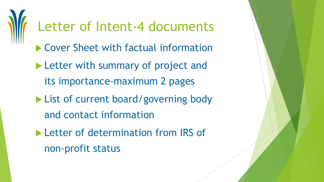# Letter of Intent-4 documents

- ▶ Cover Sheet with factual information
- **Letter with summary of project and** its importance-maximum 2 pages
- ▶ List of current board/governing body and contact information
- Letter of determination from IRS of non-profit status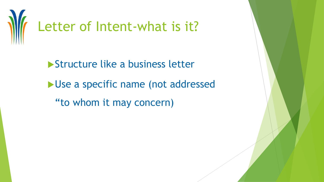

**Structure like a business letter** Use a specific name (not addressed "to whom it may concern)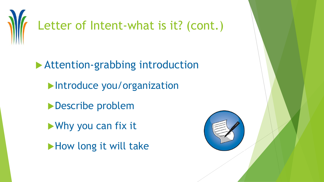

 Attention-grabbing introduction **Introduce you/organization Describe problem** ▶ Why you can fix it How long it will take

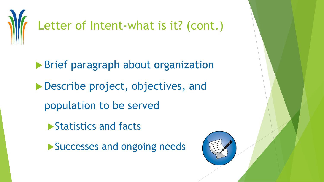

▶ Brief paragraph about organization Describe project, objectives, and population to be served

**Statistics and facts** 

Successes and ongoing needs

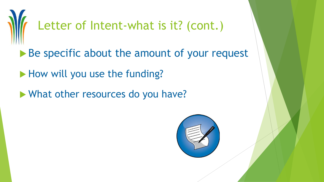

- Be specific about the amount of your request
- How will you use the funding?
- What other resources do you have?

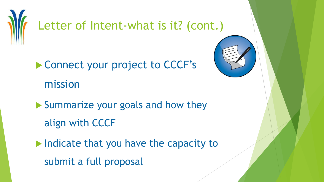

- ▶ Connect your project to CCCF's mission
- Summarize your goals and how they align with CCCF
- Indicate that you have the capacity to submit a full proposal

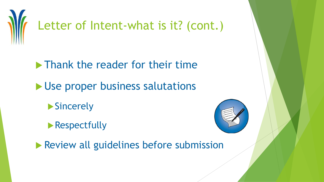

**Thank the reader for their time** 

- Use proper business salutations
	- ▶ Sincerely
	- **Respectfully**



**Review all guidelines before submission**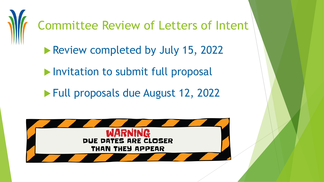

Committee Review of Letters of Intent

Review completed by July 15, 2022

Invitation to submit full proposal

**Full proposals due August 12, 2022** 

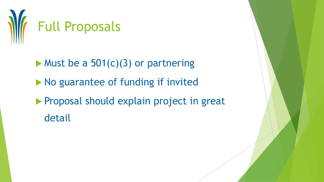

 $\blacktriangleright$  Must be a 501(c)(3) or partnering  $\blacktriangleright$  No guarantee of funding if invited **Proposal should explain project in great** detail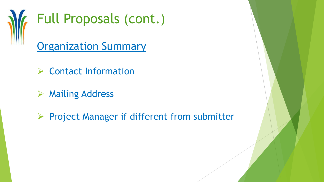

- ➢ Contact Information
- ➢ Mailing Address
- ➢ Project Manager if different from submitter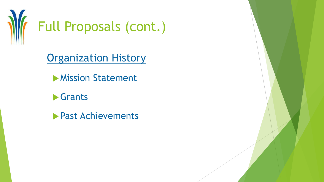

Organization History

- **Mission Statement**
- **Grants**
- **Past Achievements**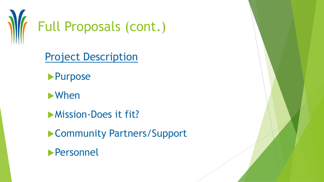

Project Description

**Purpose** 

When

**Mission-Does it fit?** 

▶ Community Partners/Support

Personnel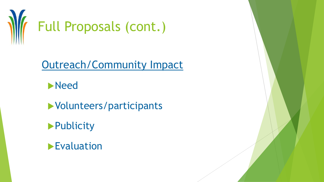

Outreach/Community Impact

**Need** 

Volunteers/participants

**Publicity** 

**Evaluation**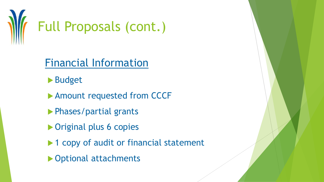

#### Financial Information

- **Budget**
- ▶ Amount requested from CCCF
- **Phases/partial grants**
- ▶ Original plus 6 copies
- ▶ 1 copy of audit or financial statement
- ▶ Optional attachments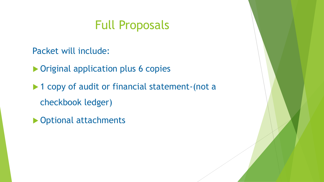### Full Proposals

Packet will include:

▶ Original application plus 6 copies

▶ 1 copy of audit or financial statement-(not a checkbook ledger)

▶ Optional attachments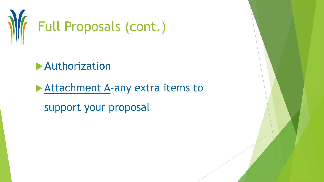

**Authorization** 

Attachment A-any extra items to

support your proposal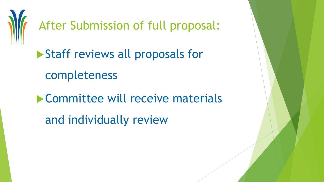

After Submission of full proposal:

▶ Staff reviews all proposals for completeness Committee will receive materials

and individually review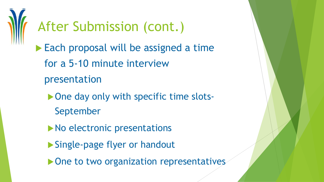

Each proposal will be assigned a time for a 5-10 minute interview presentation

- ▶ One day only with specific time slots-
	- September
- No electronic presentations
- ▶ Single-page flyer or handout
- ▶ One to two organization representatives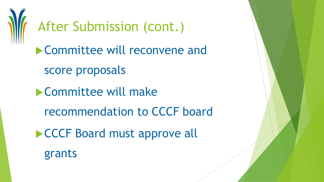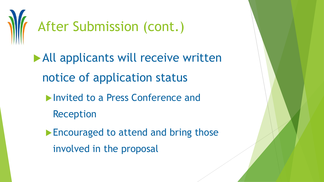

All applicants will receive written notice of application status

- **Invited to a Press Conference and** 
	- Reception

**Encouraged to attend and bring those** involved in the proposal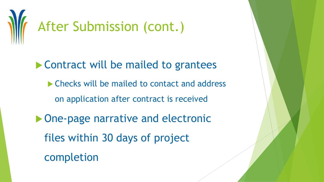

▶ Contract will be mailed to grantees ▶ Checks will be mailed to contact and address on application after contract is received ▶ One-page narrative and electronic files within 30 days of project completion